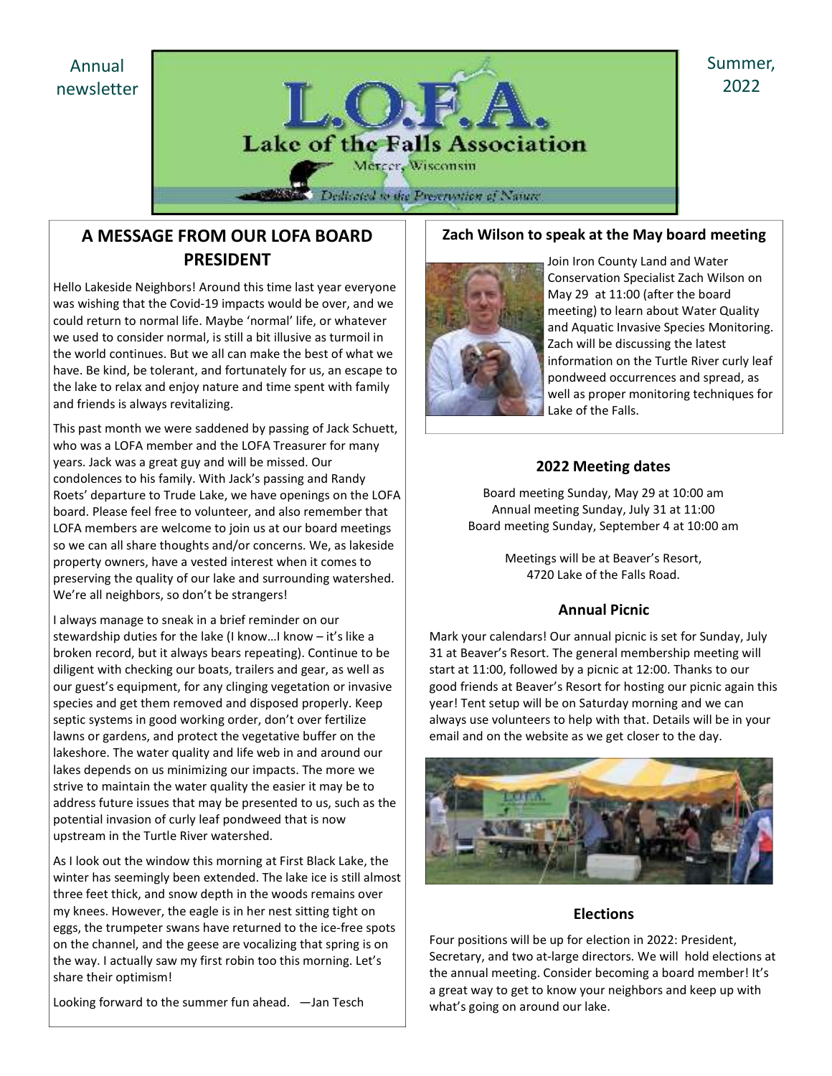Annual newsletter



# A MESSAGE FROM OUR LOFA BOARD PRESIDENT

Hello Lakeside Neighbors! Around this time last year everyone was wishing that the Covid-19 impacts would be over, and we could return to normal life. Maybe 'normal' life, or whatever we used to consider normal, is still a bit illusive as turmoil in the world continues. But we all can make the best of what we have. Be kind, be tolerant, and fortunately for us, an escape to the lake to relax and enjoy nature and time spent with family and friends is always revitalizing.

This past month we were saddened by passing of Jack Schuett, who was a LOFA member and the LOFA Treasurer for many years. Jack was a great guy and will be missed. Our condolences to his family. With Jack's passing and Randy Roets' departure to Trude Lake, we have openings on the LOFA board. Please feel free to volunteer, and also remember that LOFA members are welcome to join us at our board meetings so we can all share thoughts and/or concerns. We, as lakeside property owners, have a vested interest when it comes to preserving the quality of our lake and surrounding watershed. We're all neighbors, so don't be strangers!

I always manage to sneak in a brief reminder on our stewardship duties for the lake (I know…I know – it's like a broken record, but it always bears repeating). Continue to be diligent with checking our boats, trailers and gear, as well as our guest's equipment, for any clinging vegetation or invasive species and get them removed and disposed properly. Keep septic systems in good working order, don't over fertilize lawns or gardens, and protect the vegetative buffer on the lakeshore. The water quality and life web in and around our lakes depends on us minimizing our impacts. The more we strive to maintain the water quality the easier it may be to address future issues that may be presented to us, such as the potential invasion of curly leaf pondweed that is now upstream in the Turtle River watershed.

As I look out the window this morning at First Black Lake, the winter has seemingly been extended. The lake ice is still almost three feet thick, and snow depth in the woods remains over my knees. However, the eagle is in her nest sitting tight on eggs, the trumpeter swans have returned to the ice-free spots on the channel, and the geese are vocalizing that spring is on the way. I actually saw my first robin too this morning. Let's share their optimism!

Looking forward to the summer fun ahead. —Jan Tesch

#### Zach Wilson to speak at the May board meeting



Join Iron County Land and Water Conservation Specialist Zach Wilson on May 29 at 11:00 (after the board meeting) to learn about Water Quality and Aquatic Invasive Species Monitoring. Zach will be discussing the latest information on the Turtle River curly leaf pondweed occurrences and spread, as well as proper monitoring techniques for Lake of the Falls.

### 2022 Meeting dates

Board meeting Sunday, May 29 at 10:00 am Annual meeting Sunday, July 31 at 11:00 Board meeting Sunday, September 4 at 10:00 am

> Meetings will be at Beaver's Resort, 4720 Lake of the Falls Road.

### Annual Picnic

Mark your calendars! Our annual picnic is set for Sunday, July 31 at Beaver's Resort. The general membership meeting will start at 11:00, followed by a picnic at 12:00. Thanks to our good friends at Beaver's Resort for hosting our picnic again this year! Tent setup will be on Saturday morning and we can always use volunteers to help with that. Details will be in your email and on the website as we get closer to the day.



### Elections

Four positions will be up for election in 2022: President, Secretary, and two at-large directors. We will hold elections at the annual meeting. Consider becoming a board member! It's a great way to get to know your neighbors and keep up with what's going on around our lake.

Summer, 2022